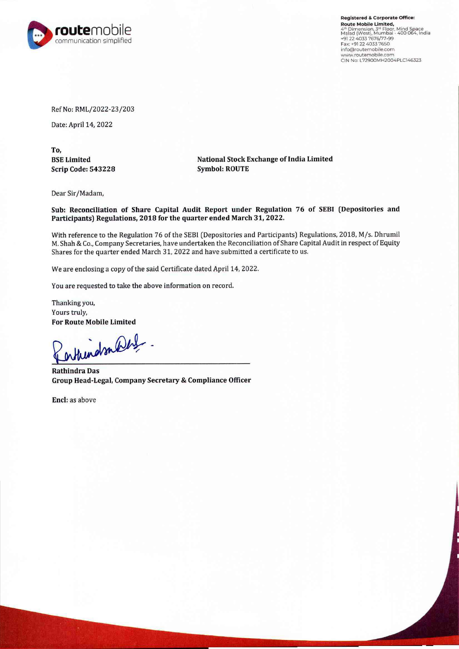

**Registered** & **Corporate Office: Route Mobile Umlted,**  4" Dimension, 3" Floor, Mind Space<br>Malad (West), Mumbai - 400 064, India<br>+91 22 4033 7676/77-99<br>Fax: +91 22 4033 7650 1nfo@routemobile.com **www.routemobile.com**  CIN No: L72900MH2004PLC146323

Ref No: RML/2022-23/203

Date: April 14, 2022

**To, BSE Limited Scrip Code: 543228** 

**National Stock Exchange of India Limited Symbol: ROUTE** 

Dear Sir/Madam,

**Sub: Reconciliation of Share Capital Audit Report under Regulation 76 of SEBI (Depositories and Participants) Regulations, 2018 for the quarter ended March 31, 2022.** 

With reference to the Regulation 76 of the SEBI (Depositories and Participants) Regulations, 2018, M/s. Dhrumil M. Shah & Co., Company Secretaries, have undertaken the Reconciliation of Share Capital Audit in respect of Equity Shares for the quarter ended March 31, 2022 and have submitted a certificate to us.

We are enclosing a copy of the said Certificate dated April 14, 2022.

You are requested to take the above information on record.

Thanking you, Yours truly, **For Route Mobile Limited** 

enthundsomberg.

**Rathindra Das Group Head-Legal, Company Secretary & Compliance Officer** 

**Encl:** as above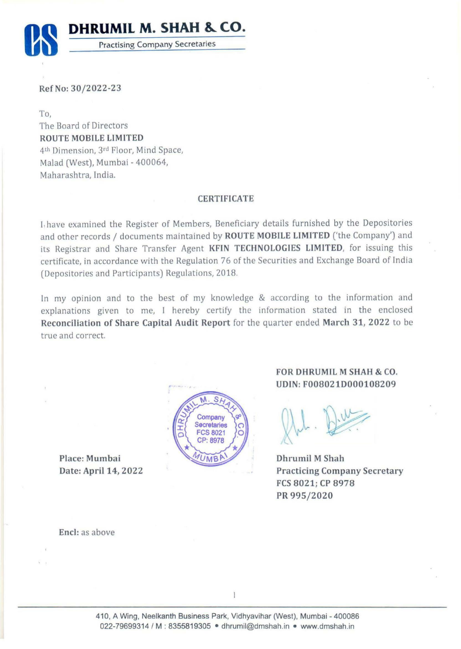

**RefNo: 30/2022-23** 

To,

The Board of Directors **ROUTE MOBILE LIMITED**  4th Dimension, 3rd Floor, Mind Space, Malad (West), Mumbai - 400064, Maharashtra, India.

## **CERTIFICATE**

I, have examined the Register of Members, Beneficiary details furnished by the Depositories and other records / documents maintained by **ROUTE MOBILE LIMITED** ('the Company') and its Registrar and Share Transfer Agent **KFIN TECHNOLOGIES LIMITED,** for issuing this certificate, in accordance with the Regulation 76 of the Securities and Exchange Board of India (Depositories and Participants) Regulations, 2018.

In my opinion and to the best of my knowledge & according to the information and explanations given to me, I hereby certify the information stated in the enclosed **Reconciliation of Share Capital Audit Report** for the quarter ended **March 31, 2022** to be true and correct.

Place: Mumbai Date: April 14, 2022



## **FOR DHRUMIL M SHAH** & **CO. UDIN: F008021D000108209**

Dhrumil M Shah Practicing Company Secretary FCS 8021; CP 8978 PR 995/2020

Encl: as above

1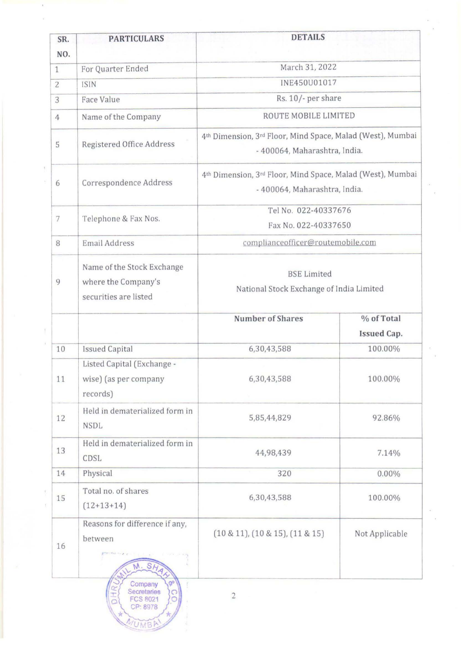| SR.<br>NO.     | <b>PARTICULARS</b>                                                         | <b>DETAILS</b>                                                                              |                           |  |  |
|----------------|----------------------------------------------------------------------------|---------------------------------------------------------------------------------------------|---------------------------|--|--|
| $\mathbf{1}$   | For Quarter Ended                                                          | March 31, 2022                                                                              |                           |  |  |
| $\overline{2}$ | <b>ISIN</b>                                                                | INE450U01017                                                                                |                           |  |  |
| 3              | Face Value                                                                 | Rs. 10/- per share                                                                          |                           |  |  |
| $\overline{4}$ | Name of the Company                                                        | ROUTE MOBILE LIMITED                                                                        |                           |  |  |
| 5              | Registered Office Address                                                  | 4th Dimension, 3rd Floor, Mind Space, Malad (West), Mumbai<br>- 400064, Maharashtra, India. |                           |  |  |
| 6              | Correspondence Address                                                     | 4th Dimension, 3rd Floor, Mind Space, Malad (West), Mumbai<br>- 400064, Maharashtra, India. |                           |  |  |
| 7              | Telephone & Fax Nos.                                                       | Tel No. 022-40337676<br>Fax No. 022-40337650                                                |                           |  |  |
| 8              | <b>Email Address</b>                                                       | complianceofficer@routemobile.com                                                           |                           |  |  |
| 9              | Name of the Stock Exchange<br>where the Company's<br>securities are listed | <b>BSE</b> Limited<br>National Stock Exchange of India Limited                              |                           |  |  |
|                |                                                                            | <b>Number of Shares</b>                                                                     | % of Total<br>Issued Cap. |  |  |
| 10             | <b>Issued Capital</b>                                                      | 6,30,43,588                                                                                 | 100.00%                   |  |  |
| 11             | Listed Capital (Exchange -<br>wise) (as per company<br>records)            | 6,30,43,588                                                                                 | 100.00%                   |  |  |
| 12             | Held in dematerialized form in<br><b>NSDL</b>                              | 5,85,44,829                                                                                 | 92.86%                    |  |  |
| 13             | Held in dematerialized form in<br>CDSL                                     | 44,98,439                                                                                   | 7.14%                     |  |  |
| 14             | Physical                                                                   | 320                                                                                         | $0.00\%$                  |  |  |
| 15             | Total no. of shares<br>$(12+13+14)$                                        | 6,30,43,588                                                                                 | 100.00%                   |  |  |
| 16             | Reasons for difference if any,<br>between<br>M. S/                         | $(10 \& 11)$ , $(10 \& 15)$ , $(11 \& 15)$                                                  | Not Applicable            |  |  |
|                | Company<br>Secretaries<br><b>FCS 8021</b><br>O<br>CP: 8978                 | $\overline{c}$                                                                              |                           |  |  |

 $\chi$ 

 $\langle \rangle$ 

 $\lambda$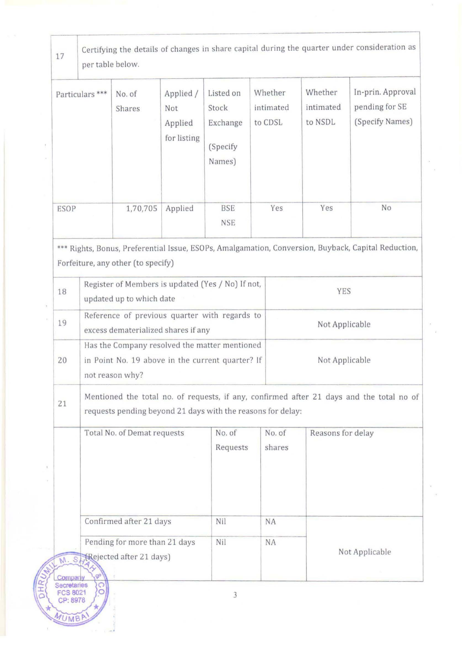| 17                                                                                                                                        | Certifying the details of changes in share capital during the quarter under consideration as<br>per table below.                                        |                                                                                                                      |                                            |                                                      |                                 |                                 |                                                        |  |
|-------------------------------------------------------------------------------------------------------------------------------------------|---------------------------------------------------------------------------------------------------------------------------------------------------------|----------------------------------------------------------------------------------------------------------------------|--------------------------------------------|------------------------------------------------------|---------------------------------|---------------------------------|--------------------------------------------------------|--|
| Particulars <sup>***</sup>                                                                                                                |                                                                                                                                                         | No. of<br>Shares                                                                                                     | Applied /<br>Not<br>Applied<br>for listing | Listed on<br>Stock<br>Exchange<br>(Specify<br>Names) | Whether<br>intimated<br>to CDSL | Whether<br>intimated<br>to NSDL | In-prin. Approval<br>pending for SE<br>(Specify Names) |  |
| <b>ESOP</b>                                                                                                                               |                                                                                                                                                         | 1,70,705                                                                                                             | Applied                                    | <b>BSE</b><br><b>NSE</b>                             | Yes                             | Yes                             | No                                                     |  |
| *** Rights, Bonus, Preferential Issue, ESOPs, Amalgamation, Conversion, Buyback, Capital Reduction,<br>Forfeiture, any other (to specify) |                                                                                                                                                         |                                                                                                                      |                                            |                                                      |                                 |                                 |                                                        |  |
| 18                                                                                                                                        |                                                                                                                                                         | Register of Members is updated (Yes / No) If not,<br>updated up to which date                                        |                                            |                                                      |                                 | YES                             |                                                        |  |
| 19                                                                                                                                        |                                                                                                                                                         | Reference of previous quarter with regards to<br>excess dematerialized shares if any                                 |                                            |                                                      |                                 | Not Applicable                  |                                                        |  |
| 20                                                                                                                                        |                                                                                                                                                         | Has the Company resolved the matter mentioned<br>in Point No. 19 above in the current quarter? If<br>not reason why? |                                            |                                                      |                                 | Not Applicable                  |                                                        |  |
| 21                                                                                                                                        | Mentioned the total no. of requests, if any, confirmed after 21 days and the total no of<br>requests pending beyond 21 days with the reasons for delay: |                                                                                                                      |                                            |                                                      |                                 |                                 |                                                        |  |
|                                                                                                                                           |                                                                                                                                                         | Total No. of Demat requests                                                                                          |                                            | No. of<br>Requests                                   | No. of<br>shares                |                                 | Reasons for delay                                      |  |
|                                                                                                                                           |                                                                                                                                                         | Confirmed after 21 days                                                                                              |                                            | Nil                                                  | NA                              |                                 |                                                        |  |
| M. SHRejected after 21 days)<br>çP.<br><b>Company</b>                                                                                     |                                                                                                                                                         | Pending for more than 21 days                                                                                        |                                            | Nil                                                  | NA                              |                                 | Not Applicable                                         |  |

MUMBA